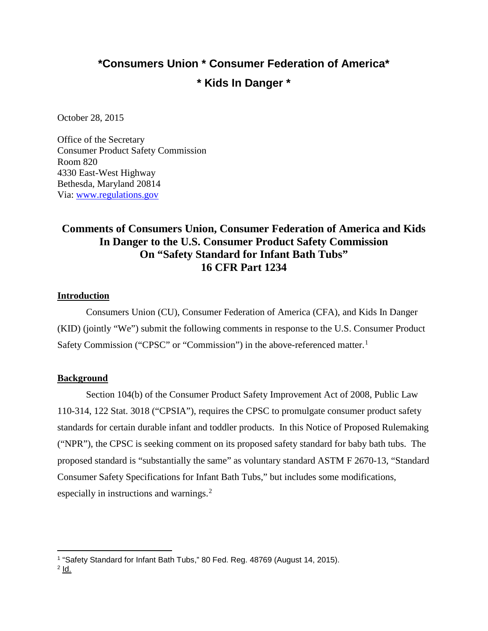# **\*Consumers Union \* Consumer Federation of America\* \* Kids In Danger \***

October 28, 2015

Office of the Secretary Consumer Product Safety Commission Room 820 4330 East-West Highway Bethesda, Maryland 20814 Via: [www.regulations.gov](http://www.regulations.gov/)

## **Comments of Consumers Union, Consumer Federation of America and Kids In Danger to the U.S. Consumer Product Safety Commission On "Safety Standard for Infant Bath Tubs" 16 CFR Part 1234**

#### **Introduction**

Consumers Union (CU), Consumer Federation of America (CFA), and Kids In Danger (KID) (jointly "We") submit the following comments in response to the U.S. Consumer Product Safety Commission ("CPSC" or "Commission") in the above-referenced matter.<sup>[1](#page-0-0)</sup>

#### **Background**

Section 104(b) of the Consumer Product Safety Improvement Act of 2008, Public Law 110-314, 122 Stat. 3018 ("CPSIA"), requires the CPSC to promulgate consumer product safety standards for certain durable infant and toddler products. In this Notice of Proposed Rulemaking ("NPR"), the CPSC is seeking comment on its proposed safety standard for baby bath tubs. The proposed standard is "substantially the same" as voluntary standard ASTM F 2670-13, "Standard Consumer Safety Specifications for Infant Bath Tubs," but includes some modifications, especially in instructions and warnings.<sup>[2](#page-0-1)</sup>

 $\overline{a}$ 

<span id="page-0-0"></span><sup>&</sup>lt;sup>1</sup> "Safety Standard for Infant Bath Tubs," 80 Fed. Reg. 48769 (August 14, 2015).

<span id="page-0-1"></span> $2$   $\mathsf{Id}$ .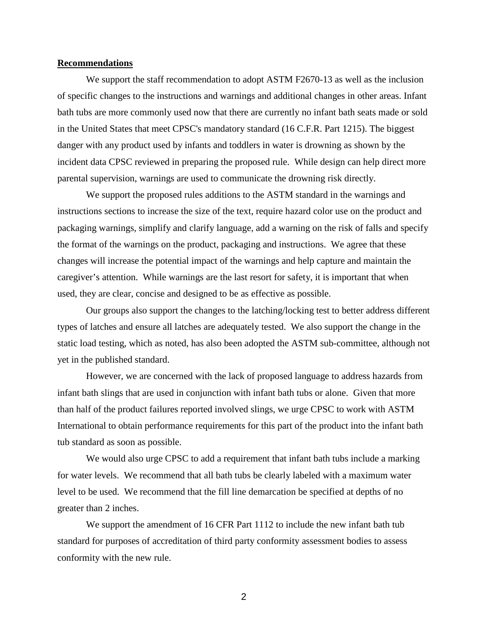#### **Recommendations**

We support the staff recommendation to adopt ASTM F2670-13 as well as the inclusion of specific changes to the instructions and warnings and additional changes in other areas. Infant bath tubs are more commonly used now that there are currently no infant bath seats made or sold in the United States that meet CPSC's mandatory standard (16 C.F.R. Part 1215). The biggest danger with any product used by infants and toddlers in water is drowning as shown by the incident data CPSC reviewed in preparing the proposed rule. While design can help direct more parental supervision, warnings are used to communicate the drowning risk directly.

We support the proposed rules additions to the ASTM standard in the warnings and instructions sections to increase the size of the text, require hazard color use on the product and packaging warnings, simplify and clarify language, add a warning on the risk of falls and specify the format of the warnings on the product, packaging and instructions. We agree that these changes will increase the potential impact of the warnings and help capture and maintain the caregiver's attention. While warnings are the last resort for safety, it is important that when used, they are clear, concise and designed to be as effective as possible.

Our groups also support the changes to the latching/locking test to better address different types of latches and ensure all latches are adequately tested. We also support the change in the static load testing, which as noted, has also been adopted the ASTM sub-committee, although not yet in the published standard.

However, we are concerned with the lack of proposed language to address hazards from infant bath slings that are used in conjunction with infant bath tubs or alone. Given that more than half of the product failures reported involved slings, we urge CPSC to work with ASTM International to obtain performance requirements for this part of the product into the infant bath tub standard as soon as possible.

We would also urge CPSC to add a requirement that infant bath tubs include a marking for water levels. We recommend that all bath tubs be clearly labeled with a maximum water level to be used. We recommend that the fill line demarcation be specified at depths of no greater than 2 inches.

We support the amendment of 16 CFR Part 1112 to include the new infant bath tub standard for purposes of accreditation of third party conformity assessment bodies to assess conformity with the new rule.

2